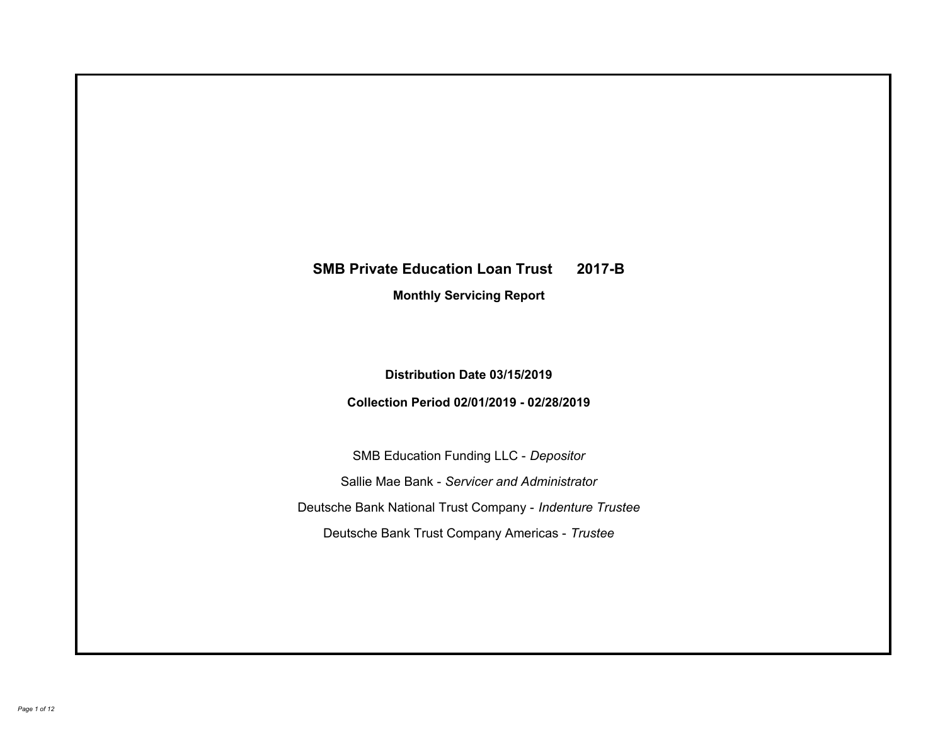# **SMB Private Education Loan Trust 2017-B Monthly Servicing Report**

## **Distribution Date 03/15/2019**

## **Collection Period 02/01/2019 - 02/28/2019**

SMB Education Funding LLC - *Depositor* Sallie Mae Bank - *Servicer and Administrator* Deutsche Bank National Trust Company - *Indenture Trustee* Deutsche Bank Trust Company Americas - *Trustee*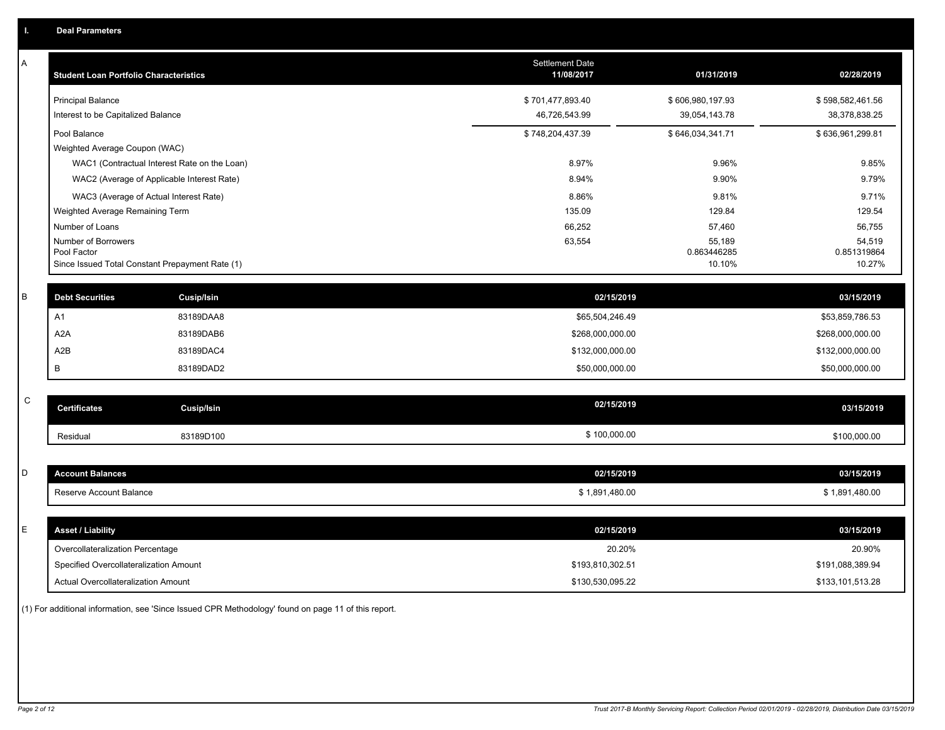| Α | <b>Student Loan Portfolio Characteristics</b>                  |                                              | Settlement Date<br>11/08/2017 | 01/31/2019            | 02/28/2019            |
|---|----------------------------------------------------------------|----------------------------------------------|-------------------------------|-----------------------|-----------------------|
|   | <b>Principal Balance</b>                                       |                                              | \$701,477,893.40              | \$606,980,197.93      | \$598,582,461.56      |
|   | Interest to be Capitalized Balance                             |                                              | 46,726,543.99                 | 39,054,143.78         | 38,378,838.25         |
|   | Pool Balance                                                   |                                              | \$748,204,437.39              | \$646,034,341.71      | \$636,961,299.81      |
|   | Weighted Average Coupon (WAC)                                  |                                              |                               |                       |                       |
|   |                                                                | WAC1 (Contractual Interest Rate on the Loan) | 8.97%                         | 9.96%                 | 9.85%                 |
|   | WAC2 (Average of Applicable Interest Rate)                     |                                              | 8.94%                         | 9.90%                 | 9.79%                 |
|   | WAC3 (Average of Actual Interest Rate)                         |                                              | 8.86%                         | 9.81%                 | 9.71%                 |
|   | Weighted Average Remaining Term                                |                                              | 135.09                        | 129.84                | 129.54                |
|   | Number of Loans                                                |                                              | 66,252                        | 57,460                | 56,755                |
|   | Number of Borrowers                                            |                                              | 63,554                        | 55,189                | 54,519                |
|   | Pool Factor<br>Since Issued Total Constant Prepayment Rate (1) |                                              |                               | 0.863446285<br>10.10% | 0.851319864<br>10.27% |
|   |                                                                |                                              |                               |                       |                       |
| B | <b>Debt Securities</b>                                         | <b>Cusip/Isin</b>                            | 02/15/2019                    |                       | 03/15/2019            |
|   | A <sub>1</sub>                                                 | 83189DAA8                                    | \$65,504,246.49               |                       | \$53,859,786.53       |
|   | A <sub>2</sub> A                                               | 83189DAB6                                    | \$268,000,000.00              |                       | \$268,000,000.00      |
|   | A2B                                                            | 83189DAC4                                    | \$132,000,000.00              |                       | \$132,000,000.00      |
|   | В                                                              | 83189DAD2                                    | \$50,000,000.00               |                       | \$50,000,000.00       |
|   |                                                                |                                              |                               |                       |                       |
| C | <b>Certificates</b>                                            | <b>Cusip/Isin</b>                            | 02/15/2019                    |                       | 03/15/2019            |
|   | Residual                                                       | 83189D100                                    | \$100,000.00                  |                       | \$100,000.00          |
|   |                                                                |                                              |                               |                       |                       |
| D | <b>Account Balances</b>                                        |                                              | 02/15/2019                    |                       | 03/15/2019            |
|   | Reserve Account Balance                                        |                                              | \$1,891,480.00                |                       | \$1,891,480.00        |
|   |                                                                |                                              |                               |                       |                       |
| Е | <b>Asset / Liability</b>                                       |                                              | 02/15/2019                    |                       | 03/15/2019            |
|   | Overcollateralization Percentage                               |                                              | 20.20%                        |                       | 20.90%                |
|   | Specified Overcollateralization Amount                         |                                              | \$193,810,302.51              |                       | \$191,088,389.94      |
|   | Actual Overcollateralization Amount                            |                                              | \$130,530,095.22              |                       | \$133,101,513.28      |

(1) For additional information, see 'Since Issued CPR Methodology' found on page 11 of this report.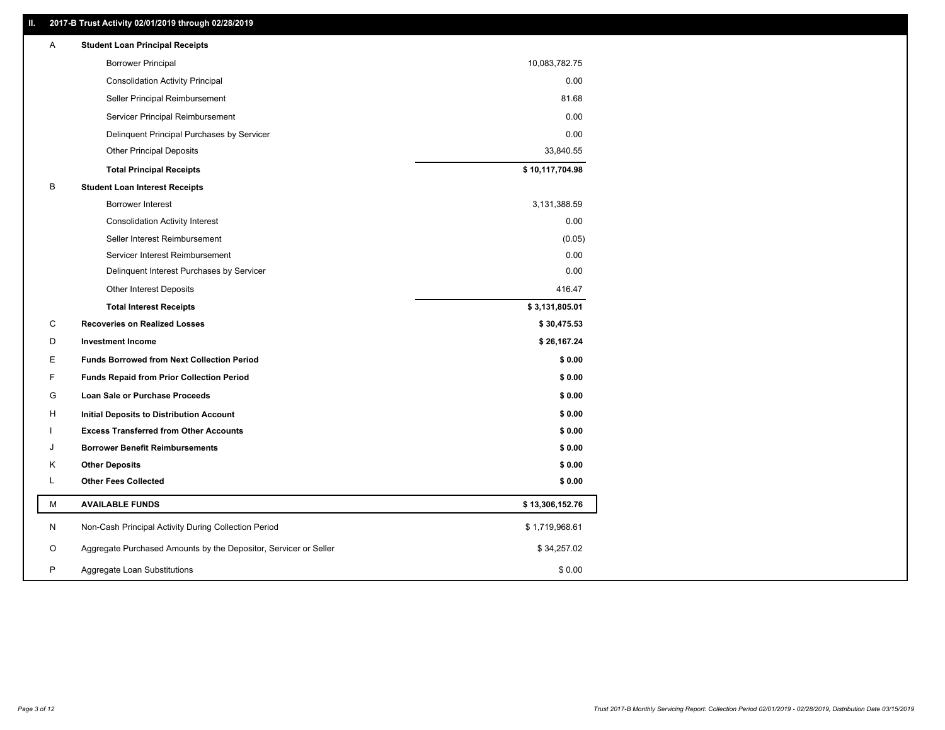### **II. 2017-B Trust Activity 02/01/2019 through 02/28/2019**

| Α | <b>Student Loan Principal Receipts</b>                           |                 |  |
|---|------------------------------------------------------------------|-----------------|--|
|   | <b>Borrower Principal</b>                                        | 10,083,782.75   |  |
|   | <b>Consolidation Activity Principal</b>                          | 0.00            |  |
|   | Seller Principal Reimbursement                                   | 81.68           |  |
|   | Servicer Principal Reimbursement                                 | 0.00            |  |
|   | Delinquent Principal Purchases by Servicer                       | 0.00            |  |
|   | <b>Other Principal Deposits</b>                                  | 33,840.55       |  |
|   | <b>Total Principal Receipts</b>                                  | \$10,117,704.98 |  |
| B | <b>Student Loan Interest Receipts</b>                            |                 |  |
|   | <b>Borrower Interest</b>                                         | 3,131,388.59    |  |
|   | <b>Consolidation Activity Interest</b>                           | 0.00            |  |
|   | Seller Interest Reimbursement                                    | (0.05)          |  |
|   | Servicer Interest Reimbursement                                  | 0.00            |  |
|   | Delinquent Interest Purchases by Servicer                        | 0.00            |  |
|   | <b>Other Interest Deposits</b>                                   | 416.47          |  |
|   | <b>Total Interest Receipts</b>                                   | \$3,131,805.01  |  |
| C | <b>Recoveries on Realized Losses</b>                             | \$30,475.53     |  |
| D | <b>Investment Income</b>                                         | \$26,167.24     |  |
| E | <b>Funds Borrowed from Next Collection Period</b>                | \$0.00          |  |
| F | <b>Funds Repaid from Prior Collection Period</b>                 | \$0.00          |  |
| G | Loan Sale or Purchase Proceeds                                   | \$0.00          |  |
| н | Initial Deposits to Distribution Account                         | \$0.00          |  |
|   | <b>Excess Transferred from Other Accounts</b>                    | \$0.00          |  |
| J | <b>Borrower Benefit Reimbursements</b>                           | \$0.00          |  |
| Κ | <b>Other Deposits</b>                                            | \$0.00          |  |
| Г | <b>Other Fees Collected</b>                                      | \$0.00          |  |
| М | <b>AVAILABLE FUNDS</b>                                           | \$13,306,152.76 |  |
| N | Non-Cash Principal Activity During Collection Period             | \$1,719,968.61  |  |
| O | Aggregate Purchased Amounts by the Depositor, Servicer or Seller | \$34,257.02     |  |
| P | Aggregate Loan Substitutions                                     | \$0.00          |  |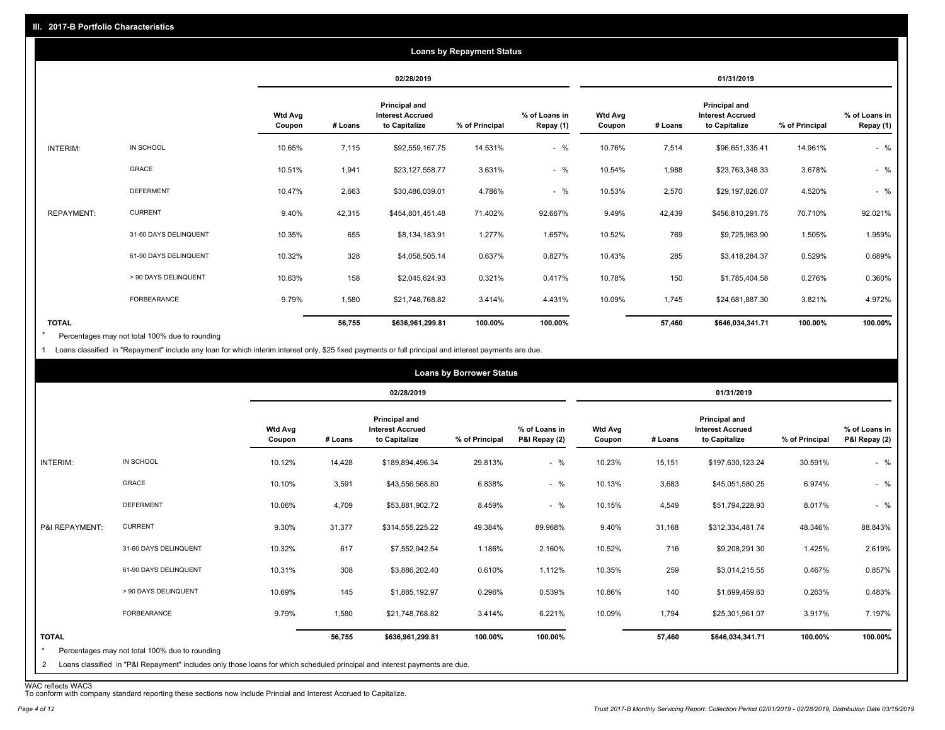|                   |                       |                          |         |                                                           | <b>Loans by Repayment Status</b> |                            |                          |         |                                                                  |                |                            |
|-------------------|-----------------------|--------------------------|---------|-----------------------------------------------------------|----------------------------------|----------------------------|--------------------------|---------|------------------------------------------------------------------|----------------|----------------------------|
|                   |                       |                          |         | 02/28/2019                                                |                                  |                            | 01/31/2019               |         |                                                                  |                |                            |
|                   |                       | <b>Wtd Avg</b><br>Coupon | # Loans | Principal and<br><b>Interest Accrued</b><br>to Capitalize | % of Principal                   | % of Loans in<br>Repay (1) | <b>Wtd Avg</b><br>Coupon | # Loans | <b>Principal and</b><br><b>Interest Accrued</b><br>to Capitalize | % of Principal | % of Loans in<br>Repay (1) |
| INTERIM:          | IN SCHOOL             | 10.65%                   | 7,115   | \$92,559,167.75                                           | 14.531%                          | $-$ %                      | 10.76%                   | 7,514   | \$96,651,335.41                                                  | 14.961%        | $-$ %                      |
|                   | GRACE                 | 10.51%                   | 1,941   | \$23,127,558.77                                           | 3.631%                           | $-$ %                      | 10.54%                   | 1,988   | \$23,763,348.33                                                  | 3.678%         | $-$ %                      |
|                   | <b>DEFERMENT</b>      | 10.47%                   | 2,663   | \$30,486,039.01                                           | 4.786%                           | $-$ %                      | 10.53%                   | 2,570   | \$29,197,826.07                                                  | 4.520%         | $-$ %                      |
| <b>REPAYMENT:</b> | <b>CURRENT</b>        | 9.40%                    | 42,315  | \$454,801,451.48                                          | 71.402%                          | 92.667%                    | 9.49%                    | 42,439  | \$456,810,291.75                                                 | 70.710%        | 92.021%                    |
|                   | 31-60 DAYS DELINQUENT | 10.35%                   | 655     | \$8,134,183.91                                            | 1.277%                           | 1.657%                     | 10.52%                   | 769     | \$9,725,963.90                                                   | 1.505%         | 1.959%                     |
|                   | 61-90 DAYS DELINQUENT | 10.32%                   | 328     | \$4,058,505.14                                            | 0.637%                           | 0.827%                     | 10.43%                   | 285     | \$3,418,284.37                                                   | 0.529%         | 0.689%                     |
|                   | > 90 DAYS DELINQUENT  | 10.63%                   | 158     | \$2,045,624.93                                            | 0.321%                           | 0.417%                     | 10.78%                   | 150     | \$1,785,404.58                                                   | 0.276%         | 0.360%                     |
|                   | <b>FORBEARANCE</b>    | 9.79%                    | 1,580   | \$21,748,768.82                                           | 3.414%                           | 4.431%                     | 10.09%                   | 1,745   | \$24,681,887.30                                                  | 3.821%         | 4.972%                     |
| <b>TOTAL</b>      |                       |                          | 56,755  | \$636,961,299.81                                          | 100.00%                          | 100.00%                    |                          | 57,460  | \$646,034,341.71                                                 | 100.00%        | 100.00%                    |

Percentages may not total 100% due to rounding \*

1 Loans classified in "Repayment" include any loan for which interim interest only, \$25 fixed payments or full principal and interest payments are due.

|                         |                                                                                                                            |                          |         |                                                           | <b>Loans by Borrower Status</b> |                                |                          |         |                                                           |                |                                |
|-------------------------|----------------------------------------------------------------------------------------------------------------------------|--------------------------|---------|-----------------------------------------------------------|---------------------------------|--------------------------------|--------------------------|---------|-----------------------------------------------------------|----------------|--------------------------------|
|                         |                                                                                                                            |                          |         | 02/28/2019                                                |                                 |                                |                          |         | 01/31/2019                                                |                |                                |
|                         |                                                                                                                            | <b>Wtd Avg</b><br>Coupon | # Loans | Principal and<br><b>Interest Accrued</b><br>to Capitalize | % of Principal                  | % of Loans in<br>P&I Repay (2) | <b>Wtd Avg</b><br>Coupon | # Loans | Principal and<br><b>Interest Accrued</b><br>to Capitalize | % of Principal | % of Loans in<br>P&I Repay (2) |
| INTERIM:                | IN SCHOOL                                                                                                                  | 10.12%                   | 14,428  | \$189,894,496.34                                          | 29.813%                         | $-$ %                          | 10.23%                   | 15,151  | \$197,630,123.24                                          | 30.591%        | $-$ %                          |
|                         | GRACE                                                                                                                      | 10.10%                   | 3,591   | \$43,556,568.80                                           | 6.838%                          | $-$ %                          | 10.13%                   | 3,683   | \$45,051,580.25                                           | 6.974%         | $-$ %                          |
|                         | <b>DEFERMENT</b>                                                                                                           | 10.06%                   | 4,709   | \$53,881,902.72                                           | 8.459%                          | $-$ %                          | 10.15%                   | 4,549   | \$51,794,228.93                                           | 8.017%         | $-$ %                          |
| P&I REPAYMENT:          | <b>CURRENT</b>                                                                                                             | 9.30%                    | 31,377  | \$314,555,225.22                                          | 49.384%                         | 89.968%                        | 9.40%                    | 31,168  | \$312,334,481.74                                          | 48.346%        | 88.843%                        |
|                         | 31-60 DAYS DELINQUENT                                                                                                      | 10.32%                   | 617     | \$7,552,942.54                                            | 1.186%                          | 2.160%                         | 10.52%                   | 716     | \$9,208,291.30                                            | 1.425%         | 2.619%                         |
|                         | 61-90 DAYS DELINQUENT                                                                                                      | 10.31%                   | 308     | \$3,886,202.40                                            | 0.610%                          | 1.112%                         | 10.35%                   | 259     | \$3,014,215.55                                            | 0.467%         | 0.857%                         |
|                         | > 90 DAYS DELINQUENT                                                                                                       | 10.69%                   | 145     | \$1,885,192.97                                            | 0.296%                          | 0.539%                         | 10.86%                   | 140     | \$1,699,459.63                                            | 0.263%         | 0.483%                         |
|                         | FORBEARANCE                                                                                                                | 9.79%                    | 1,580   | \$21,748,768.82                                           | 3.414%                          | 6.221%                         | 10.09%                   | 1,794   | \$25,301,961.07                                           | 3.917%         | 7.197%                         |
| <b>TOTAL</b><br>$\star$ | Percentages may not total 100% due to rounding                                                                             |                          | 56,755  | \$636,961,299.81                                          | 100.00%                         | 100.00%                        |                          | 57,460  | \$646,034,341.71                                          | 100.00%        | 100.00%                        |
| 2                       | Loans classified in "P&I Repayment" includes only those loans for which scheduled principal and interest payments are due. |                          |         |                                                           |                                 |                                |                          |         |                                                           |                |                                |

WAC reflects WAC3 To conform with company standard reporting these sections now include Princial and Interest Accrued to Capitalize.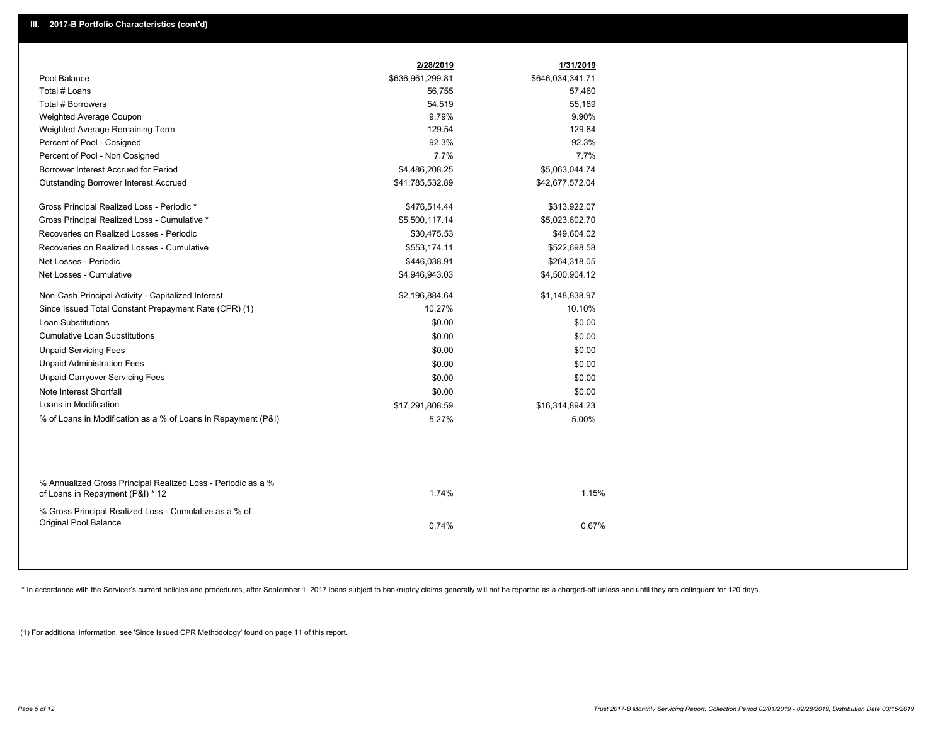|                                                                                                  | 2/28/2019        | 1/31/2019        |  |
|--------------------------------------------------------------------------------------------------|------------------|------------------|--|
| Pool Balance                                                                                     | \$636,961,299.81 | \$646,034,341.71 |  |
| Total # Loans                                                                                    | 56,755           | 57,460           |  |
| Total # Borrowers                                                                                | 54,519           | 55,189           |  |
| Weighted Average Coupon                                                                          | 9.79%            | 9.90%            |  |
| Weighted Average Remaining Term                                                                  | 129.54           | 129.84           |  |
| Percent of Pool - Cosigned                                                                       | 92.3%            | 92.3%            |  |
| Percent of Pool - Non Cosigned                                                                   | 7.7%             | 7.7%             |  |
| Borrower Interest Accrued for Period                                                             | \$4,486,208.25   | \$5,063,044.74   |  |
| Outstanding Borrower Interest Accrued                                                            | \$41,785,532.89  | \$42,677,572.04  |  |
| Gross Principal Realized Loss - Periodic *                                                       | \$476,514.44     | \$313,922.07     |  |
| Gross Principal Realized Loss - Cumulative *                                                     | \$5,500,117.14   | \$5,023,602.70   |  |
| Recoveries on Realized Losses - Periodic                                                         | \$30,475.53      | \$49,604.02      |  |
| Recoveries on Realized Losses - Cumulative                                                       | \$553,174.11     | \$522,698.58     |  |
| Net Losses - Periodic                                                                            | \$446,038.91     | \$264,318.05     |  |
| Net Losses - Cumulative                                                                          | \$4,946,943.03   | \$4,500,904.12   |  |
| Non-Cash Principal Activity - Capitalized Interest                                               | \$2,196,884.64   | \$1,148,838.97   |  |
| Since Issued Total Constant Prepayment Rate (CPR) (1)                                            | 10.27%           | 10.10%           |  |
| <b>Loan Substitutions</b>                                                                        | \$0.00           | \$0.00           |  |
| <b>Cumulative Loan Substitutions</b>                                                             | \$0.00           | \$0.00           |  |
| <b>Unpaid Servicing Fees</b>                                                                     | \$0.00           | \$0.00           |  |
| <b>Unpaid Administration Fees</b>                                                                | \$0.00           | \$0.00           |  |
| <b>Unpaid Carryover Servicing Fees</b>                                                           | \$0.00           | \$0.00           |  |
| Note Interest Shortfall                                                                          | \$0.00           | \$0.00           |  |
| Loans in Modification                                                                            | \$17,291,808.59  | \$16,314,894.23  |  |
| % of Loans in Modification as a % of Loans in Repayment (P&I)                                    | 5.27%            | 5.00%            |  |
|                                                                                                  |                  |                  |  |
| % Annualized Gross Principal Realized Loss - Periodic as a %<br>of Loans in Repayment (P&I) * 12 | 1.74%            | 1.15%            |  |
| % Gross Principal Realized Loss - Cumulative as a % of<br>Original Pool Balance                  | 0.74%            | 0.67%            |  |

\* In accordance with the Servicer's current policies and procedures, after September 1, 2017 loans subject to bankruptcy claims generally will not be reported as a charged-off unless and until they are delinquent for 120 d

(1) For additional information, see 'Since Issued CPR Methodology' found on page 11 of this report.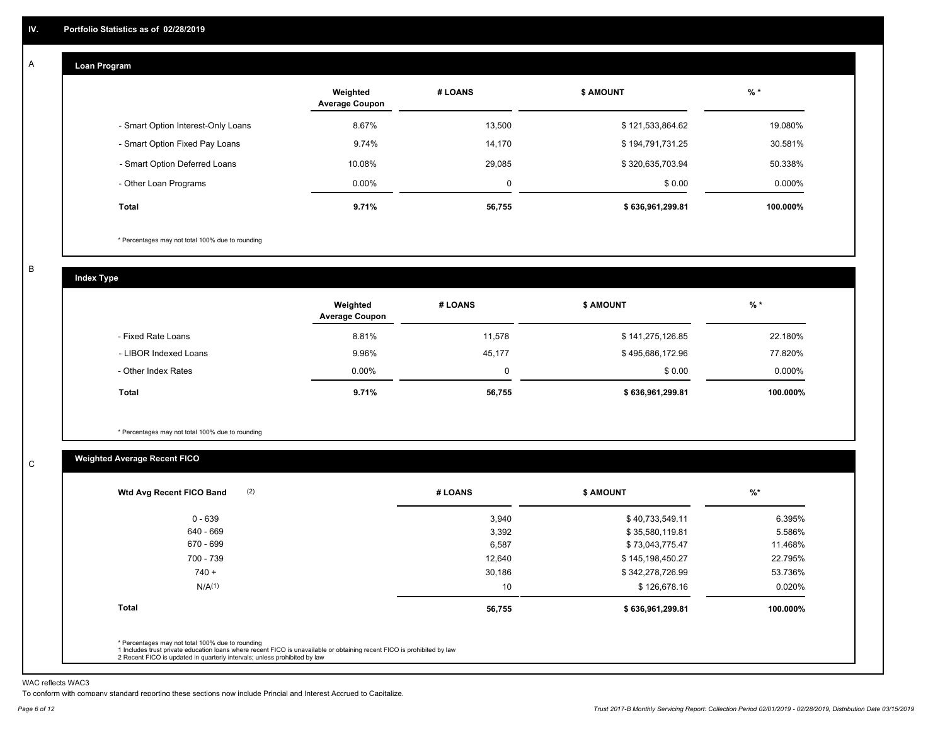#### **Loan Program**  A

|                                    | Weighted<br><b>Average Coupon</b> | # LOANS     | <b>\$ AMOUNT</b> | $%$ *    |
|------------------------------------|-----------------------------------|-------------|------------------|----------|
| - Smart Option Interest-Only Loans | 8.67%                             | 13,500      | \$121,533,864.62 | 19.080%  |
| - Smart Option Fixed Pay Loans     | 9.74%                             | 14,170      | \$194,791,731.25 | 30.581%  |
| - Smart Option Deferred Loans      | 10.08%                            | 29,085      | \$320,635,703.94 | 50.338%  |
| - Other Loan Programs              | $0.00\%$                          | $\mathbf 0$ | \$0.00           | 0.000%   |
| <b>Total</b>                       | 9.71%                             | 56,755      | \$636,961,299.81 | 100.000% |

\* Percentages may not total 100% due to rounding

B

C

**Index Type**

|                       | Weighted<br><b>Average Coupon</b> | # LOANS | <b>S AMOUNT</b>  | $%$ *     |
|-----------------------|-----------------------------------|---------|------------------|-----------|
| - Fixed Rate Loans    | 8.81%                             | 11,578  | \$141,275,126.85 | 22.180%   |
| - LIBOR Indexed Loans | 9.96%                             | 45.177  | \$495,686,172.96 | 77.820%   |
| - Other Index Rates   | $0.00\%$                          | 0       | \$0.00           | $0.000\%$ |
| Total                 | 9.71%                             | 56,755  | \$636,961,299.81 | 100.000%  |

\* Percentages may not total 100% due to rounding

### **Weighted Average Recent FICO**

| Wtd Avg Recent FICO Band |        |                  |          |
|--------------------------|--------|------------------|----------|
| $0 - 639$                | 3,940  | \$40,733,549.11  | 6.395%   |
| 640 - 669                | 3,392  | \$35,580,119.81  | 5.586%   |
| 670 - 699                | 6,587  | \$73,043,775.47  | 11.468%  |
| 700 - 739                | 12,640 | \$145,198,450.27 | 22.795%  |
| $740 +$                  | 30,186 | \$342,278,726.99 | 53.736%  |
| N/A <sup>(1)</sup>       | 10     | \$126,678.16     | 0.020%   |
| <b>Total</b>             | 56,755 | \$636,961,299.81 | 100.000% |
|                          |        |                  |          |

WAC reflects WAC3

To conform with company standard reporting these sections now include Princial and Interest Accrued to Capitalize.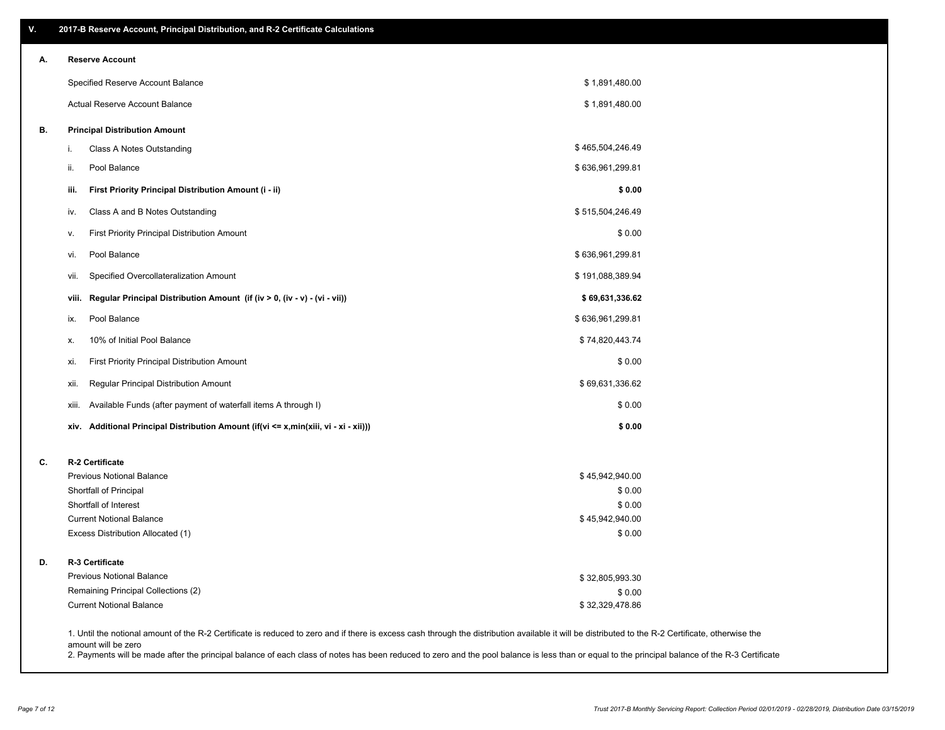| А. | <b>Reserve Account</b>                                                               |                           |  |
|----|--------------------------------------------------------------------------------------|---------------------------|--|
|    | Specified Reserve Account Balance                                                    | \$1,891,480.00            |  |
|    | Actual Reserve Account Balance                                                       | \$1,891,480.00            |  |
| В. | <b>Principal Distribution Amount</b>                                                 |                           |  |
|    | Class A Notes Outstanding<br>i.                                                      | \$465,504,246.49          |  |
|    | Pool Balance<br>ii.                                                                  | \$636,961,299.81          |  |
|    | First Priority Principal Distribution Amount (i - ii)<br>iii.                        | \$0.00                    |  |
|    | Class A and B Notes Outstanding<br>iv.                                               | \$515,504,246.49          |  |
|    | <b>First Priority Principal Distribution Amount</b><br>v.                            | \$0.00                    |  |
|    | Pool Balance<br>vi.                                                                  | \$636,961,299.81          |  |
|    | Specified Overcollateralization Amount<br>VII.                                       | \$191,088,389.94          |  |
|    | Regular Principal Distribution Amount (if (iv > 0, (iv - v) - (vi - vii))<br>viii.   | \$69,631,336.62           |  |
|    | Pool Balance<br>ix.                                                                  | \$636,961,299.81          |  |
|    | 10% of Initial Pool Balance<br>х.                                                    | \$74,820,443.74           |  |
|    | First Priority Principal Distribution Amount<br>xi.                                  | \$0.00                    |  |
|    | Regular Principal Distribution Amount<br>xii.                                        | \$69,631,336.62           |  |
|    | Available Funds (after payment of waterfall items A through I)<br>xiii.              | \$0.00                    |  |
|    | xiv. Additional Principal Distribution Amount (if(vi <= x,min(xiii, vi - xi - xii))) | \$0.00                    |  |
| C. | R-2 Certificate                                                                      |                           |  |
|    | <b>Previous Notional Balance</b>                                                     | \$45,942,940.00           |  |
|    | Shortfall of Principal                                                               | \$0.00                    |  |
|    | Shortfall of Interest<br><b>Current Notional Balance</b>                             | \$0.00<br>\$45,942,940.00 |  |
|    | Excess Distribution Allocated (1)                                                    | \$0.00                    |  |
| D. | R-3 Certificate                                                                      |                           |  |
|    | <b>Previous Notional Balance</b>                                                     | \$32,805,993.30           |  |
|    | Remaining Principal Collections (2)                                                  | \$0.00                    |  |
|    | <b>Current Notional Balance</b>                                                      | \$32,329,478.86           |  |

amount will be zero

2. Payments will be made after the principal balance of each class of notes has been reduced to zero and the pool balance is less than or equal to the principal balance of the R-3 Certificate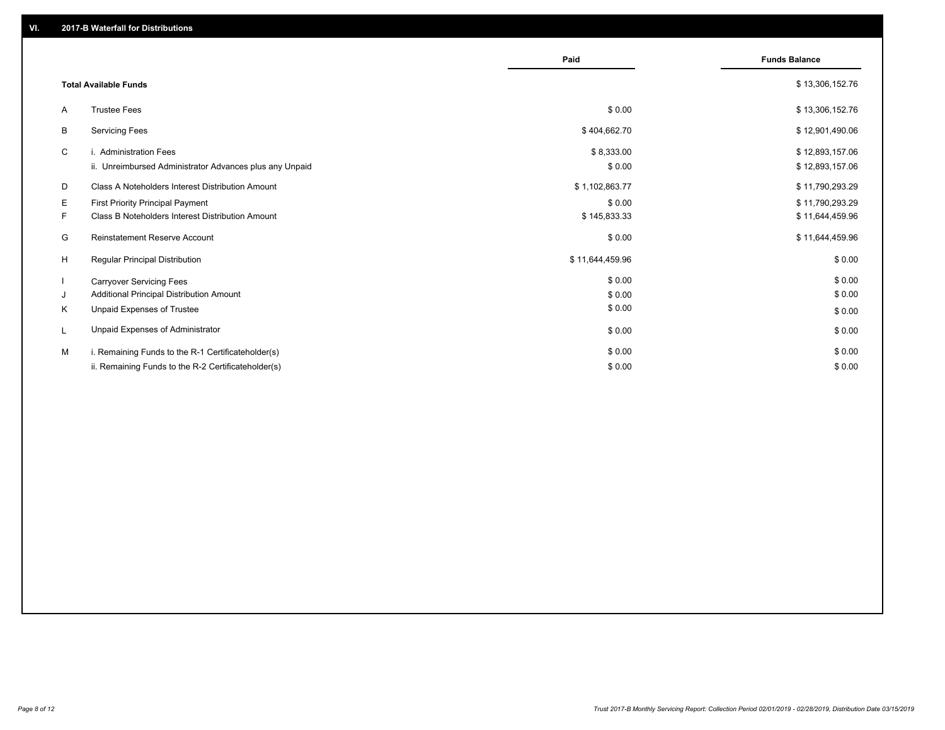|    |                                                         | Paid            | <b>Funds Balance</b> |
|----|---------------------------------------------------------|-----------------|----------------------|
|    | <b>Total Available Funds</b>                            |                 | \$13,306,152.76      |
| A  | <b>Trustee Fees</b>                                     | \$0.00          | \$13,306,152.76      |
| B  | <b>Servicing Fees</b>                                   | \$404,662.70    | \$12,901,490.06      |
| C  | i. Administration Fees                                  | \$8,333.00      | \$12,893,157.06      |
|    | ii. Unreimbursed Administrator Advances plus any Unpaid | \$0.00          | \$12,893,157.06      |
| D  | Class A Noteholders Interest Distribution Amount        | \$1,102,863.77  | \$11,790,293.29      |
| Е  | <b>First Priority Principal Payment</b>                 | \$0.00          | \$11,790,293.29      |
| F. | <b>Class B Noteholders Interest Distribution Amount</b> | \$145,833.33    | \$11,644,459.96      |
| G  | <b>Reinstatement Reserve Account</b>                    | \$0.00          | \$11,644,459.96      |
| H  | Regular Principal Distribution                          | \$11,644,459.96 | \$0.00               |
|    | <b>Carryover Servicing Fees</b>                         | \$0.00          | \$0.00               |
| J  | Additional Principal Distribution Amount                | \$0.00          | \$0.00               |
| Κ  | Unpaid Expenses of Trustee                              | \$0.00          | \$0.00               |
|    | Unpaid Expenses of Administrator                        | \$0.00          | \$0.00               |
| м  | i. Remaining Funds to the R-1 Certificateholder(s)      | \$0.00          | \$0.00               |
|    | ii. Remaining Funds to the R-2 Certificateholder(s)     | \$0.00          | \$0.00               |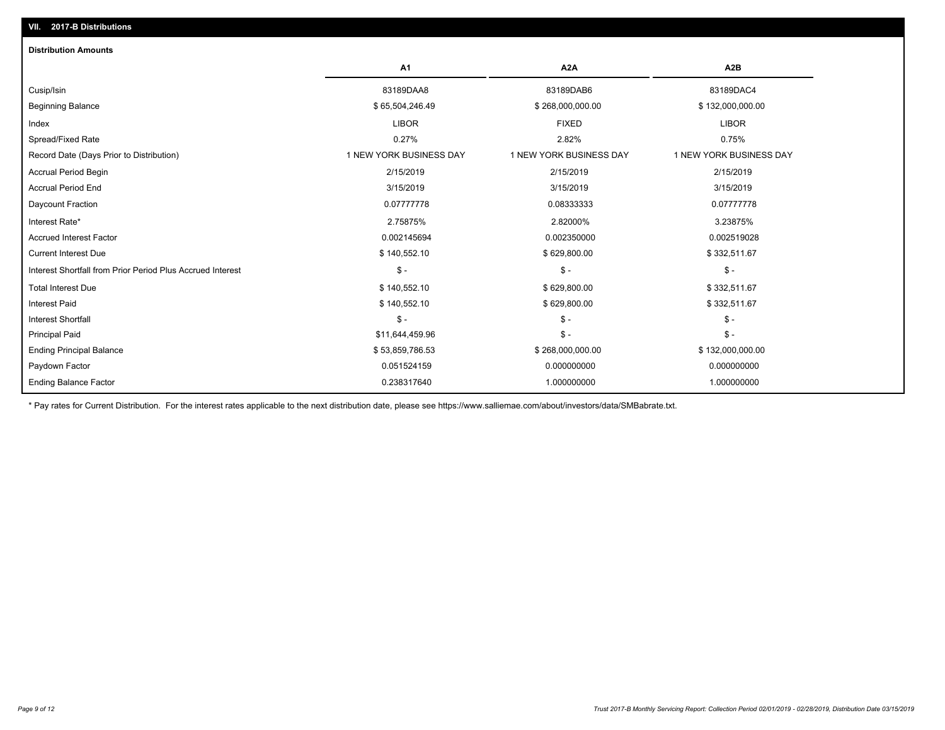| <b>Distribution Amounts</b>                                |                         |                         |                         |
|------------------------------------------------------------|-------------------------|-------------------------|-------------------------|
|                                                            | A <sub>1</sub>          | A <sub>2</sub> A        | A <sub>2</sub> B        |
| Cusip/Isin                                                 | 83189DAA8               | 83189DAB6               | 83189DAC4               |
| <b>Beginning Balance</b>                                   | \$65,504,246.49         | \$268,000,000.00        | \$132,000,000.00        |
| Index                                                      | <b>LIBOR</b>            | <b>FIXED</b>            | <b>LIBOR</b>            |
| Spread/Fixed Rate                                          | 0.27%                   | 2.82%                   | 0.75%                   |
| Record Date (Days Prior to Distribution)                   | 1 NEW YORK BUSINESS DAY | 1 NEW YORK BUSINESS DAY | 1 NEW YORK BUSINESS DAY |
| <b>Accrual Period Begin</b>                                | 2/15/2019               | 2/15/2019               | 2/15/2019               |
| <b>Accrual Period End</b>                                  | 3/15/2019               | 3/15/2019               | 3/15/2019               |
| Daycount Fraction                                          | 0.07777778              | 0.08333333              | 0.07777778              |
| Interest Rate*                                             | 2.75875%                | 2.82000%                | 3.23875%                |
| <b>Accrued Interest Factor</b>                             | 0.002145694             | 0.002350000             | 0.002519028             |
| <b>Current Interest Due</b>                                | \$140,552.10            | \$629,800.00            | \$332,511.67            |
| Interest Shortfall from Prior Period Plus Accrued Interest | $\mathsf{\$}$ -         | $\mathcal{S}$ -         | $$ -$                   |
| <b>Total Interest Due</b>                                  | \$140,552.10            | \$629,800.00            | \$332,511.67            |
| <b>Interest Paid</b>                                       | \$140,552.10            | \$629,800.00            | \$332,511.67            |
| <b>Interest Shortfall</b>                                  | $$ -$                   | $\mathsf{\$}$ -         | $$ -$                   |
| <b>Principal Paid</b>                                      | \$11,644,459.96         | $$ -$                   | $$ -$                   |
| <b>Ending Principal Balance</b>                            | \$53,859,786.53         | \$268,000,000.00        | \$132,000,000.00        |
| Paydown Factor                                             | 0.051524159             | 0.000000000             | 0.000000000             |
| <b>Ending Balance Factor</b>                               | 0.238317640             | 1.000000000             | 1.000000000             |

\* Pay rates for Current Distribution. For the interest rates applicable to the next distribution date, please see https://www.salliemae.com/about/investors/data/SMBabrate.txt.

**VII. 2017-B Distributions**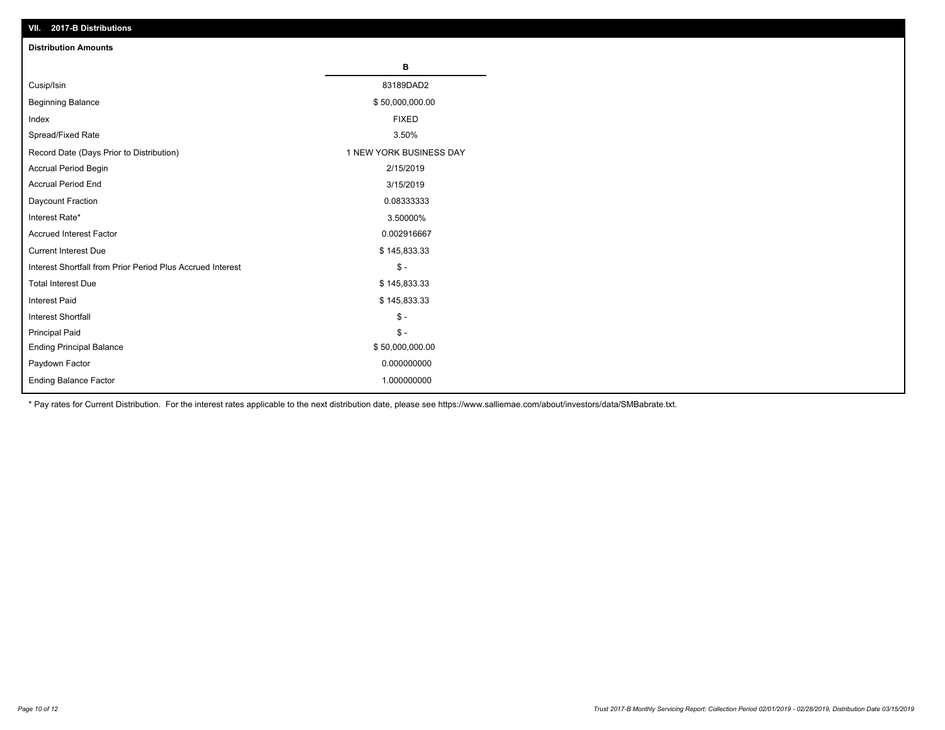| VII. 2017-B Distributions                                  |                         |
|------------------------------------------------------------|-------------------------|
| <b>Distribution Amounts</b>                                |                         |
|                                                            | в                       |
| Cusip/Isin                                                 | 83189DAD2               |
| <b>Beginning Balance</b>                                   | \$50,000,000.00         |
| Index                                                      | <b>FIXED</b>            |
| Spread/Fixed Rate                                          | 3.50%                   |
| Record Date (Days Prior to Distribution)                   | 1 NEW YORK BUSINESS DAY |
| Accrual Period Begin                                       | 2/15/2019               |
| <b>Accrual Period End</b>                                  | 3/15/2019               |
| Daycount Fraction                                          | 0.08333333              |
| Interest Rate*                                             | 3.50000%                |
| <b>Accrued Interest Factor</b>                             | 0.002916667             |
| <b>Current Interest Due</b>                                | \$145,833.33            |
| Interest Shortfall from Prior Period Plus Accrued Interest | $\frac{1}{2}$           |
| <b>Total Interest Due</b>                                  | \$145,833.33            |
| <b>Interest Paid</b>                                       | \$145,833.33            |
| Interest Shortfall                                         | $\frac{1}{2}$           |
| <b>Principal Paid</b>                                      | $\mathsf S$ -           |
| <b>Ending Principal Balance</b>                            | \$50,000,000.00         |
| Paydown Factor                                             | 0.000000000             |
| Ending Balance Factor                                      | 1.000000000             |

\* Pay rates for Current Distribution. For the interest rates applicable to the next distribution date, please see https://www.salliemae.com/about/investors/data/SMBabrate.txt.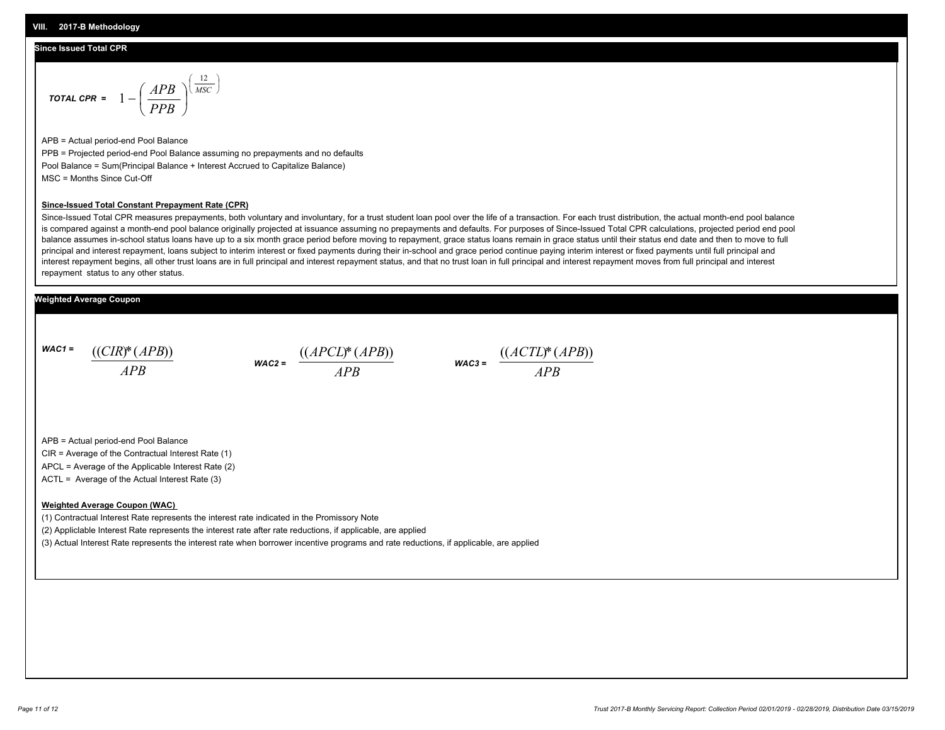#### **Since Issued Total CPR**

$$
\text{total CPR} = 1 - \left(\frac{APB}{PPB}\right)^{\left(\frac{12}{MSC}\right)}
$$

APB = Actual period-end Pool Balance PPB = Projected period-end Pool Balance assuming no prepayments and no defaults Pool Balance = Sum(Principal Balance + Interest Accrued to Capitalize Balance) MSC = Months Since Cut-Off

#### **Since-Issued Total Constant Prepayment Rate (CPR)**

Since-Issued Total CPR measures prepayments, both voluntary and involuntary, for a trust student loan pool over the life of a transaction. For each trust distribution, the actual month-end pool balance is compared against a month-end pool balance originally projected at issuance assuming no prepayments and defaults. For purposes of Since-Issued Total CPR calculations, projected period end pool balance assumes in-school status loans have up to a six month grace period before moving to repayment, grace status loans remain in grace status until their status end date and then to move to full principal and interest repayment, loans subject to interim interest or fixed payments during their in-school and grace period continue paying interim interest or fixed payments until full principal and interest repayment begins, all other trust loans are in full principal and interest repayment status, and that no trust loan in full principal and interest repayment moves from full principal and interest repayment status to any other status.

#### **Weighted Average Coupon**

*WAC1 = APB* ((*CIR*)\*(*APB*))

*WAC2 = APB*



APB = Actual period-end Pool Balance

CIR = Average of the Contractual Interest Rate (1)

APCL = Average of the Applicable Interest Rate (2)

ACTL = Average of the Actual Interest Rate (3)

#### **Weighted Average Coupon (WAC)**

(1) Contractual Interest Rate represents the interest rate indicated in the Promissory Note

(2) Appliclable Interest Rate represents the interest rate after rate reductions, if applicable, are applied

(3) Actual Interest Rate represents the interest rate when borrower incentive programs and rate reductions, if applicable, are applied